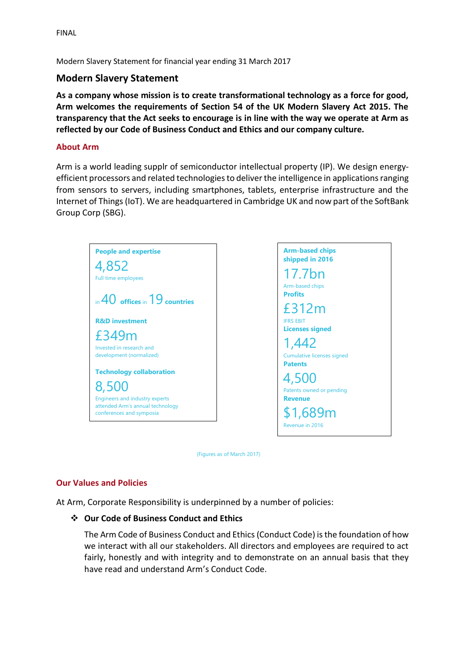FINAL

Modern Slavery Statement for financial year ending 31 March 2017

# **Modern Slavery Statement**

**As a company whose mission is to create transformational technology as a force for good, Arm welcomes the requirements of Section 54 of the UK Modern Slavery Act 2015. The transparency that the Act seeks to encourage is in line with the way we operate at Arm as reflected by our Code of Business Conduct and Ethics and our company culture.**

## **About Arm**

Arm is a world leading supplr of semiconductor intellectual property (IP). We design energyefficient processors and related technologies to deliver the intelligence in applications ranging from sensors to servers, including smartphones, tablets, enterprise infrastructure and the Internet of Things (IoT). We are headquartered in Cambridge UK and now part of the SoftBank Group Corp (SBG).





(Figures as of March 2017)

## **Our Values and Policies**

At Arm, Corporate Responsibility is underpinned by a number of policies:

## ❖ **Our Code of Business Conduct and Ethics**

The Arm Code of Business Conduct and Ethics(Conduct Code) is the foundation of how we interact with all our stakeholders. All directors and employees are required to act fairly, honestly and with integrity and to demonstrate on an annual basis that they have read and understand Arm's Conduct Code.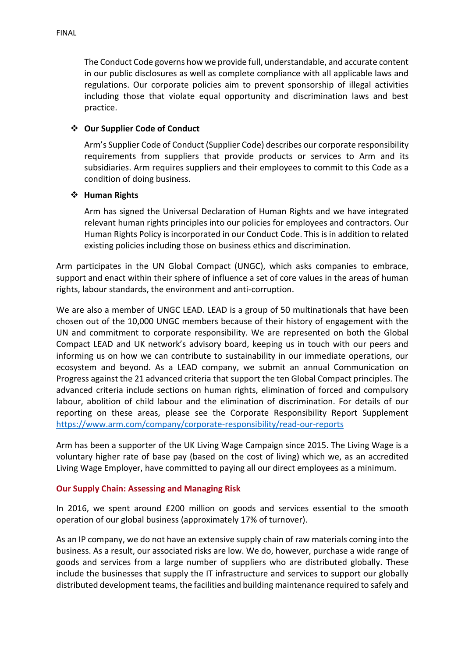The Conduct Code governs how we provide full, understandable, and accurate content in our public disclosures as well as complete compliance with all applicable laws and regulations. Our corporate policies aim to prevent sponsorship of illegal activities including those that violate equal opportunity and discrimination laws and best practice.

## ❖ **Our Supplier Code of Conduct**

Arm's Supplier Code of Conduct (Supplier Code) describes our corporate responsibility requirements from suppliers that provide products or services to Arm and its subsidiaries. Arm requires suppliers and their employees to commit to this Code as a condition of doing business.

### ❖ **Human Rights**

Arm has signed the Universal Declaration of Human Rights and we have integrated relevant human rights principles into our policies for employees and contractors. Our Human Rights Policy is incorporated in our Conduct Code. This is in addition to related existing policies including those on business ethics and discrimination.

Arm participates in the UN Global Compact (UNGC), which asks companies to embrace, support and enact within their sphere of influence a set of core values in the areas of human rights, labour standards, the environment and anti-corruption.

We are also a member of UNGC LEAD. LEAD is a group of 50 multinationals that have been chosen out of the 10,000 UNGC members because of their history of engagement with the UN and commitment to corporate responsibility. We are represented on both the Global Compact LEAD and UK network's advisory board, keeping us in touch with our peers and informing us on how we can contribute to sustainability in our immediate operations, our ecosystem and beyond. As a LEAD company, we submit an annual Communication on Progress against the 21 advanced criteria that support the ten Global Compact principles. The advanced criteria include sections on human rights, elimination of forced and compulsory labour, abolition of child labour and the elimination of discrimination. For details of our reporting on these areas, please see the Corporate Responsibility Report Supplement <https://www.arm.com/company/corporate-responsibility/read-our-reports>

Arm has been a supporter of the UK Living Wage Campaign since 2015. The Living Wage is a voluntary higher rate of base pay (based on the cost of living) which we, as an accredited Living Wage Employer, have committed to paying all our direct employees as a minimum.

#### **Our Supply Chain: Assessing and Managing Risk**

In 2016, we spent around £200 million on goods and services essential to the smooth operation of our global business (approximately 17% of turnover).

As an IP company, we do not have an extensive supply chain of raw materials coming into the business. As a result, our associated risks are low. We do, however, purchase a wide range of goods and services from a large number of suppliers who are distributed globally. These include the businesses that supply the IT infrastructure and services to support our globally distributed development teams, the facilities and building maintenance required to safely and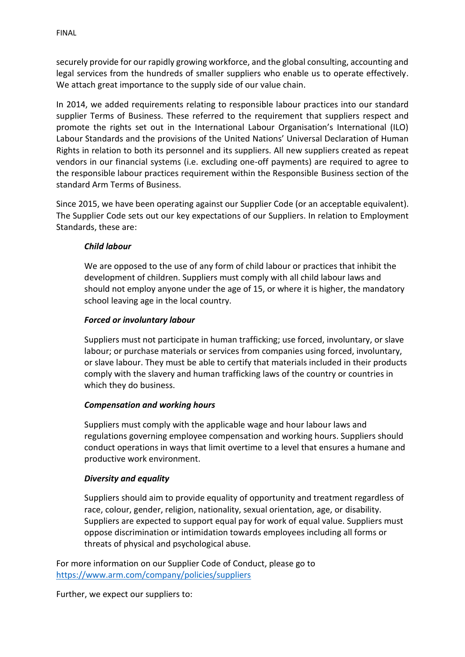securely provide for our rapidly growing workforce, and the global consulting, accounting and legal services from the hundreds of smaller suppliers who enable us to operate effectively. We attach great importance to the supply side of our value chain.

In 2014, we added requirements relating to responsible labour practices into our standard supplier Terms of Business. These referred to the requirement that suppliers respect and promote the rights set out in the International Labour Organisation's International (ILO) Labour Standards and the provisions of the United Nations' Universal Declaration of Human Rights in relation to both its personnel and its suppliers. All new suppliers created as repeat vendors in our financial systems (i.e. excluding one-off payments) are required to agree to the responsible labour practices requirement within the Responsible Business section of the standard Arm Terms of Business.

Since 2015, we have been operating against our Supplier Code (or an acceptable equivalent). The Supplier Code sets out our key expectations of our Suppliers. In relation to Employment Standards, these are:

## *Child labour*

We are opposed to the use of any form of child labour or practices that inhibit the development of children. Suppliers must comply with all child labour laws and should not employ anyone under the age of 15, or where it is higher, the mandatory school leaving age in the local country.

## *Forced or involuntary labour*

Suppliers must not participate in human trafficking; use forced, involuntary, or slave labour; or purchase materials or services from companies using forced, involuntary, or slave labour. They must be able to certify that materials included in their products comply with the slavery and human trafficking laws of the country or countries in which they do business.

## *Compensation and working hours*

Suppliers must comply with the applicable wage and hour labour laws and regulations governing employee compensation and working hours. Suppliers should conduct operations in ways that limit overtime to a level that ensures a humane and productive work environment.

## *Diversity and equality*

Suppliers should aim to provide equality of opportunity and treatment regardless of race, colour, gender, religion, nationality, sexual orientation, age, or disability. Suppliers are expected to support equal pay for work of equal value. Suppliers must oppose discrimination or intimidation towards employees including all forms or threats of physical and psychological abuse.

For more information on our Supplier Code of Conduct, please go to <https://www.arm.com/company/policies/suppliers>

Further, we expect our suppliers to: